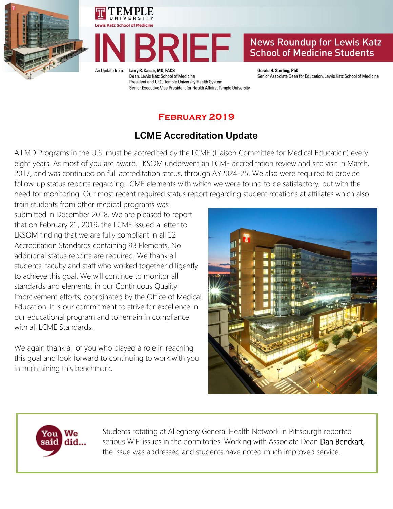





## **News Roundup for Lewis Katz School of Medicine Students**

An Undate from:

Larry R. Kaiser, MD, FACS Dean, Lewis Katz School of Medicine President and CEO, Temple University Health System Senior Executive Vice President for Health Affairs, Temple University

**Gerald H. Sterling, PhD** Senior Associate Dean for Education, Lewis Katz School of Medicine

### **February 2019**

# **LCME Accreditation Update**

All MD Programs in the U.S. must be accredited by the LCME (Liaison Committee for Medical Education) every eight years. As most of you are aware, LKSOM underwent an LCME accreditation review and site visit in March, 2017, and was continued on full accreditation status, through AY2024-25. We also were required to provide follow-up status reports regarding LCME elements with which we were found to be satisfactory, but with the need for monitoring. Our most recent required status report regarding student rotations at affiliates which also

train students from other medical programs was submitted in December 2018. We are pleased to report that on February 21, 2019, the LCME issued a letter to LKSOM finding that we are fully compliant in all 12 Accreditation Standards containing 93 Elements. No additional status reports are required. We thank all students, faculty and staff who worked together diligently to achieve this goal. We will continue to monitor all standards and elements, in our Continuous Quality Improvement efforts, coordinated by the Office of Medical Education. It is our commitment to strive for excellence in our educational program and to remain in compliance with all LCME Standards.

We again thank all of you who played a role in reaching this goal and look forward to continuing to work with you in maintaining this benchmark.





Students rotating at Allegheny General Health Network in Pittsburgh reported serious WiFi issues in the dormitories. Working with Associate Dean Dan Benckart, the issue was addressed and students have noted much improved service.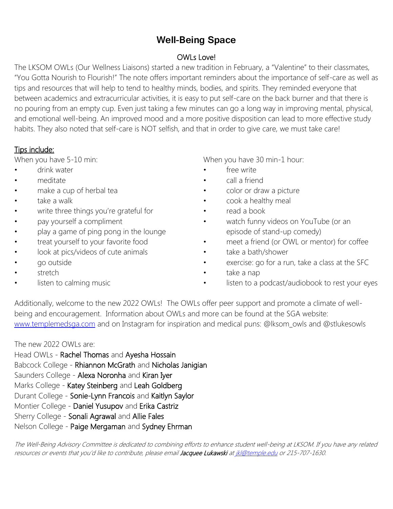## **Well-Being Space**

#### OWLs Love!

The LKSOM OWLs (Our Wellness Liaisons) started a new tradition in February, a "Valentine" to their classmates, "You Gotta Nourish to Flourish!" The note offers important reminders about the importance of self-care as well as tips and resources that will help to tend to healthy minds, bodies, and spirits. They reminded everyone that between academics and extracurricular activities, it is easy to put self-care on the back burner and that there is no pouring from an empty cup. Even just taking a few minutes can go a long way in improving mental, physical, and emotional well-being. An improved mood and a more positive disposition can lead to more effective study habits. They also noted that self-care is NOT selfish, and that in order to give care, we must take care!

### Tips include:

When you have 5-10 min:

- drink water
- meditate
- make a cup of herbal tea
- take a walk
- write three things you're grateful for
- pay yourself a compliment
- play a game of ping pong in the lounge
- treat yourself to your favorite food
- look at pics/videos of cute animals
- go outside
- stretch
- listen to calming music

When you have 30 min-1 hour:

- free write
- call a friend
- color or draw a picture
- cook a healthy meal
- read a book
- watch funny videos on YouTube (or an episode of stand-up comedy)
- meet a friend (or OWL or mentor) for coffee
- take a bath/shower
- exercise: go for a run, take a class at the SFC
- take a nap
- listen to a podcast/audiobook to rest your eyes

Additionally, welcome to the new 2022 OWLs! The OWLs offer peer support and promote a climate of wellbeing and encouragement. Information about OWLs and more can be found at the SGA website: [www.templemedsga.com](http://www.templemedsga.com/) and on Instagram for inspiration and medical puns: @lksom\_owls and @stlukesowls

The new 2022 OWLs are:

Head OWLs - Rachel Thomas and Ayesha Hossain Babcock College - Rhiannon McGrath and Nicholas Janigian Saunders College - Alexa Noronha and Kiran Iyer Marks College - Katey Steinberg and Leah Goldberg Durant College - Sonie-Lynn Francois and Kaitlyn Saylor Montier College - Daniel Yusupov and Erika Castriz Sherry College - Sonali Agrawal and Allie Fales Nelson College - Paige Mergaman and Sydney Ehrman

The Well-Being Advisory Committee is dedicated to combining efforts to enhance student well-being at LKSOM. If you have any related resources or events that you'd like to contribute, please email Jacquee Lukawski a[t jkl@temple.edu](mailto:jkl@temple.edu) or 215-707-1630.